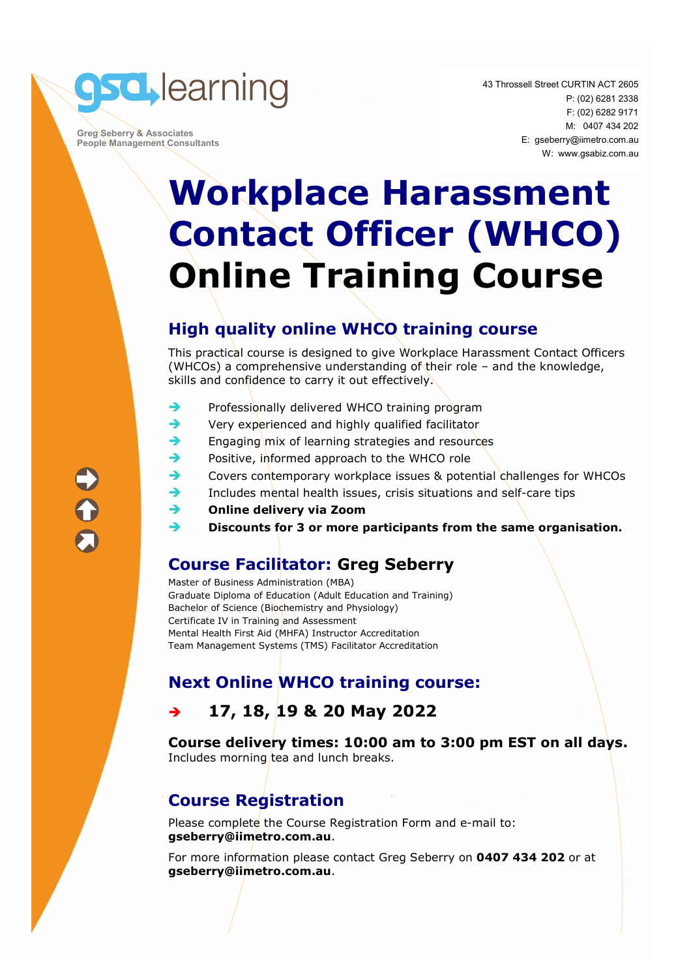**gsd, learning** 

 **Greg Seberry & Associates People Management Consultants**  43 Throssell Street CURTIN ACT 2605 P: (02) 6281 2338 F: (02) 6282 9171 M: 0407 434 202 E: gseberry@iimetro.com.au W: www.gsabiz.com.au

## **Workplace Harassment Contact Officer (WHCO) Online Training Course**

#### **High quality online WHCO training course**

This practical course is designed to give Workplace Harassment Contact Officers (WHCOs) a comprehensive understanding of their role – and the knowledge, skills and confidence to carry it out effectively.

- Professionally delivered WHCO training program
- $\rightarrow$  Very experienced and highly qualified facilitator
- $\rightarrow$  Engaging mix of learning strategies and resources
- Positive, informed approach to the WHCO role
- ◆ Covers contemporary workplace issues & potential challenges for WHCOs
- Includes mental health issues, crisis situations and self-care tips
- **Online delivery via Zoom**
- **Discounts for 3 or more participants from the same organisation.**

#### **Course Facilitator: Greg Seberry**

Master of Business Administration (MBA) Graduate Diploma of Education (Adult Education and Training) Bachelor of Science (Biochemistry and Physiology) Certificate IV in Training and Assessment Mental Health First Aid (MHFA) Instructor Accreditation Team Management Systems (TMS) Facilitator Accreditation

### **Next Online WHCO training course:**

#### **17, 18, 19 & 20 May 2022**

**Course delivery times: 10:00 am to 3:00 pm EST on all days.**  Includes morning tea and lunch breaks.

### **Course Registration**

Please complete the Course Registration Form and e-mail to: **gseberry@iimetro.com.au**.

For more information please contact Greg Seberry on **0407 434 202** or at **gseberry@iimetro.com.au**.